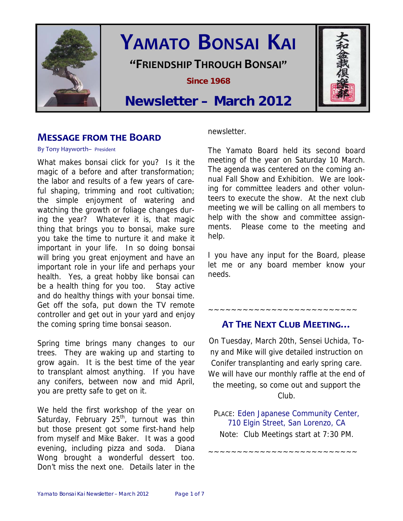

# **YAMATO BONSAI KAI**

**"FRIENDSHIP THROUGH BONSAI"**

**Since 1968** 

# **Newsletter – March 2012**

# **MESSAGE FROM THE BOARD**

#### By Tony Hayworth– President

What makes bonsai click for you? Is it the magic of a before and after transformation; the labor and results of a few years of careful shaping, trimming and root cultivation; the simple enjoyment of watering and watching the growth or foliage changes during the year? Whatever it is, that magic thing that brings you to bonsai, make sure you take the time to nurture it and make it important in your life. In so doing bonsai will bring you great enjoyment and have an important role in your life and perhaps your health. Yes, a great hobby like bonsai can be a health thing for you too. Stay active and do healthy things with your bonsai time. Get off the sofa, put down the TV remote controller and get out in your yard and enjoy the coming spring time bonsai season.

Spring time brings many changes to our trees. They are waking up and starting to grow again. It is the best time of the year to transplant almost anything. If you have any conifers, between now and mid April, you are pretty safe to get on it.

We held the first workshop of the year on Saturday, February  $25<sup>th</sup>$ , turnout was thin but those present got some first-hand help from myself and Mike Baker. It was a good evening, including pizza and soda. Diana Wong brought a wonderful dessert too. Don't miss the next one. Details later in the

newsletter.

The Yamato Board held its second board meeting of the year on Saturday 10 March. The agenda was centered on the coming annual Fall Show and Exhibition. We are looking for committee leaders and other volunteers to execute the show. At the next club meeting we will be calling on all members to help with the show and committee assignments. Please come to the meeting and help.

I you have any input for the Board, please let me or any board member know your needs.

# **AT THE NEXT CLUB MEETING…**

~~~~~~~~~~~~~~~~~~~~~~~~~~

On Tuesday, March 20th, Sensei Uchida, Tony and Mike will give detailed instruction on Conifer transplanting and early spring care. We will have our monthly raffle at the end of the meeting, so come out and support the Club.

PLACE: Eden Japanese Community Center, 710 Elgin Street, San Lorenzo, CA Note: Club Meetings start at 7:30 PM.

~~~~~~~~~~~~~~~~~~~~~~~~~~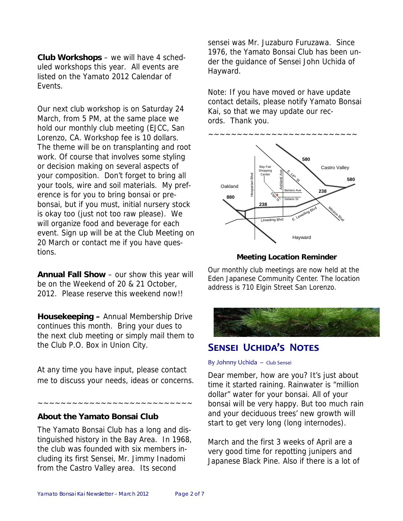**Club Workshops** – we will have 4 scheduled workshops this year. All events are listed on the Yamato 2012 Calendar of Events.

Our next club workshop is on Saturday 24 March, from 5 PM, at the same place we hold our monthly club meeting (EJCC, San Lorenzo, CA. Workshop fee is 10 dollars. The theme will be on transplanting and root work. Of course that involves some styling or decision making on several aspects of your composition. Don't forget to bring all your tools, wire and soil materials. My preference is for you to bring bonsai or prebonsai, but if you must, initial nursery stock is okay too (just not too raw please). We will organize food and beverage for each event. Sign up will be at the Club Meeting on 20 March or contact me if you have questions.

**Annual Fall Show** – our show this year will be on the Weekend of 20 & 21 October, 2012. Please reserve this weekend now!!

**Housekeeping –** Annual Membership Drive continues this month. Bring your dues to the next club meeting or simply mail them to the Club P.O. Box in Union City.

At any time you have input, please contact me to discuss your needs, ideas or concerns.

~~~~~~~~~~~~~~~~~~~~~~~~~~~

**About the Yamato Bonsai Club** 

The Yamato Bonsai Club has a long and distinguished history in the Bay Area. In 1968, the club was founded with six members including its first Sensei, Mr. Jimmy Inadomi from the Castro Valley area. Its second

sensei was Mr. Juzaburo Furuzawa. Since 1976, the Yamato Bonsai Club has been under the guidance of Sensei John Uchida of Hayward.

Note: If you have moved or have update contact details, please notify Yamato Bonsai Kai, so that we may update our records. Thank you.



#### **Meeting Location Reminder**

Our monthly club meetings are now held at the Eden Japanese Community Center. The location address is 710 Elgin Street San Lorenzo.



# **SENSEI UCHIDA'S NOTES**

#### By Johnny Uchida – Club Sensei

Dear member, how are you? It's just about time it started raining. Rainwater is "million dollar" water for your bonsai. All of your bonsai will be very happy. But too much rain and your deciduous trees' new growth will start to get very long (long internodes).

March and the first 3 weeks of April are a very good time for repotting junipers and Japanese Black Pine. Also if there is a lot of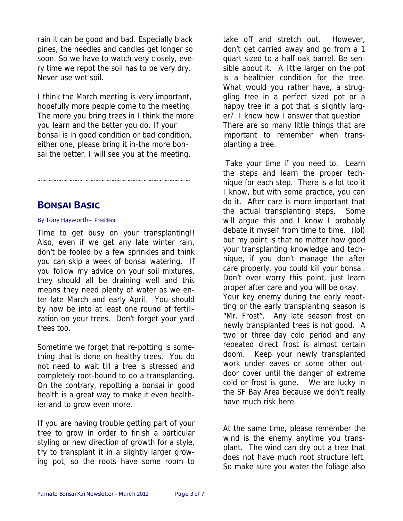rain it can be good and bad. Especially black pines, the needles and candles get longer so soon. So we have to watch very closely, every time we repot the soil has to be very dry. Never use wet soil.

I think the March meeting is very important, hopefully more people come to the meeting. The more you bring trees in I think the more you learn and the better you do. If your bonsai is in good condition or bad condition, either one, please bring it in-the more bonsai the better. I will see you at the meeting.

~~~~~~~~~~~~~~~~~~~

# **BONSAI BASIC**

#### By Tony Hayworth– President

Time to get busy on your transplanting!! Also, even if we get any late winter rain, don't be fooled by a few sprinkles and think you can skip a week of bonsai watering. If you follow my advice on your soil mixtures, they should all be draining well and this means they need plenty of water as we enter late March and early April. You should by now be into at least one round of fertilization on your trees. Don't forget your yard trees too.

Sometime we forget that re-potting is something that is done on healthy trees. You do not need to wait till a tree is stressed and completely root-bound to do a transplanting. On the contrary, repotting a bonsai in good health is a great way to make it even healthier and to grow even more.

If you are having trouble getting part of your tree to grow in order to finish a particular styling or new direction of growth for a style, try to transplant it in a slightly larger growing pot, so the roots have some room to take off and stretch out. However, don't get carried away and go from a 1 quart sized to a half oak barrel. Be sensible about it. A little larger on the pot is a healthier condition for the tree. What would you rather have, a struggling tree in a perfect sized pot or a happy tree in a pot that is slightly larger? I know how I answer that question. There are so many little things that are important to remember when transplanting a tree.

 Take your time if you need to. Learn the steps and learn the proper technique for each step. There is a lot too it I know, but with some practice, you can do it. After care is more important that the actual transplanting steps. Some will argue this and I know I probably debate it myself from time to time. (lol) but my point is that no matter how good your transplanting knowledge and technique, if you don't manage the after care properly, you could kill your bonsai. Don't over worry this point, just learn proper after care and you will be okay. Your key enemy during the early repotting or the early transplanting season is "Mr. Frost". Any late season frost on newly transplanted trees is not good. A two or three day cold period and any repeated direct frost is almost certain doom. Keep your newly transplanted work under eaves or some other outdoor cover until the danger of extreme cold or frost is gone. We are lucky in the SF Bay Area because we don't really have much risk here.

At the same time, please remember the wind is the enemy anytime you transplant. The wind can dry out a tree that does not have much root structure left. So make sure you water the foliage also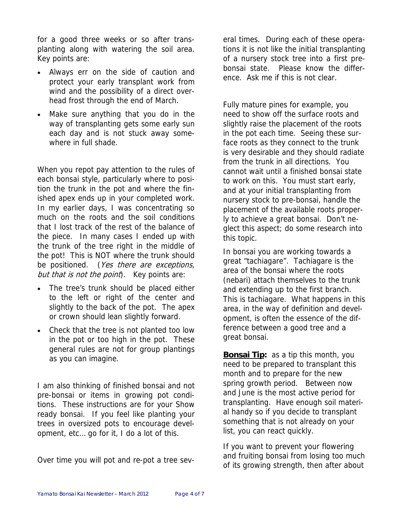for a good three weeks or so after transplanting along with watering the soil area. Key points are:

- Always err on the side of caution and protect your early transplant work from wind and the possibility of a direct overhead frost through the end of March.
- Make sure anything that you do in the way of transplanting gets some early sun each day and is not stuck away somewhere in full shade.

When you repot pay attention to the rules of each bonsai style, particularly where to position the trunk in the pot and where the finished apex ends up in your completed work. In my earlier days, I was concentrating so much on the roots and the soil conditions that I lost track of the rest of the balance of the piece. In many cases I ended up with the trunk of the tree right in the middle of the pot! This is NOT where the trunk should be positioned. (Yes there are exceptions, but that is not the point). Key points are:

- The tree's trunk should be placed either to the left or right of the center and slightly to the back of the pot. The apex or crown should lean slightly forward.
- Check that the tree is not planted too low in the pot or too high in the pot. These general rules are not for group plantings as you can imagine.

I am also thinking of finished bonsai and not pre-bonsai or items in growing pot conditions. These instructions are for your Show ready bonsai. If you feel like planting your trees in oversized pots to encourage development, etc… go for it, I do a lot of this.

Over time you will pot and re-pot a tree sev-

eral times. During each of these operations it is not like the initial transplanting of a nursery stock tree into a first prebonsai state. Please know the difference. Ask me if this is not clear.

Fully mature pines for example, you need to show off the surface roots and slightly raise the placement of the roots in the pot each time. Seeing these surface roots as they connect to the trunk is very desirable and they should radiate from the trunk in all directions. You cannot wait until a finished bonsai state to work on this. You must start early, and at your initial transplanting from nursery stock to pre-bonsai, handle the placement of the available roots properly to achieve a great bonsai. Don't neglect this aspect; do some research into this topic.

In bonsai you are working towards a great "tachiagare". Tachiagare is the area of the bonsai where the roots (nebari) attach themselves to the trunk and extending up to the first branch. This is tachiagare. What happens in this area, in the way of definition and development, is often the essence of the difference between a good tree and a great bonsai.

**Bonsai Tip:** as a tip this month, you need to be prepared to transplant this month and to prepare for the new spring growth period. Between now and June is the most active period for transplanting. Have enough soil material handy so if you decide to transplant something that is not already on your list, you can react quickly.

If you want to prevent your flowering and fruiting bonsai from losing too much of its growing strength, then after about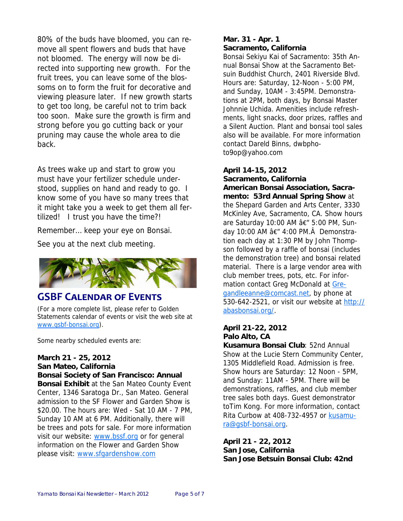80% of the buds have bloomed, you can remove all spent flowers and buds that have not bloomed. The energy will now be directed into supporting new growth. For the fruit trees, you can leave some of the blossoms on to form the fruit for decorative and viewing pleasure later. If new growth starts to get too long, be careful not to trim back too soon. Make sure the growth is firm and strong before you go cutting back or your pruning may cause the whole area to die back.

As trees wake up and start to grow you must have your fertilizer schedule understood, supplies on hand and ready to go. I know some of you have so many trees that it might take you a week to get them all fertilized! I trust you have the time?!

Remember… keep your eye on Bonsai.

See you at the next club meeting.



# **GSBF CALENDAR OF EVENTS**

(For a more complete list, please refer to Golden Statements calendar of events or visit the web site at www.gsbf-bonsai.org).

Some nearby scheduled events are:

#### **March 21 - 25, 2012**

**San Mateo, California Bonsai Society of San Francisco: Annual** 

**Bonsai Exhibit** at the San Mateo County Event Center, 1346 Saratoga Dr., San Mateo. General admission to the SF Flower and Garden Show is \$20.00. The hours are: Wed - Sat 10 AM - 7 PM, Sunday 10 AM at 6 PM. Additionally, there will be trees and pots for sale. For more information visit our website: www.bssf.org or for general information on the Flower and Garden Show please visit: www.sfgardenshow.com

### **Mar. 31 - Apr. 1 Sacramento, California**

Bonsai Sekiyu Kai of Sacramento: 35th Annual Bonsai Show at the Sacramento Betsuin Buddhist Church, 2401 Riverside Blvd. Hours are: Saturday, 12-Noon - 5:00 PM, and Sunday, 10AM - 3:45PM. Demonstrations at 2PM, both days, by Bonsai Master Johnnie Uchida. Amenities include refreshments, light snacks, door prizes, raffles and a Silent Auction. Plant and bonsai tool sales also will be available. For more information contact Dareld Binns, dwbphoto9op@yahoo.com

**April 14-15, 2012** 

**Sacramento, California American Bonsai Association, Sacramento: 53rd Annual Spring Show** at the Shepard Garden and Arts Center, 3330 McKinley Ave, Sacramento, CA. Show hours are Saturday 10:00 AM â€" 5:00 PM, Sunday 10:00 AM â€<sup>"</sup> 4:00 PM. Demonstration each day at 1:30 PM by John Thompson followed by a raffle of bonsai (includes the demonstration tree) and bonsai related material. There is a large vendor area with club member trees, pots, etc. For information contact Greg McDonald at Gregandleeanne@comcast.net, by phone at 530-642-2521, or visit our website at http:// abasbonsai.org/.

## **April 21-22, 2012 Palo Alto, CA**

**Kusamura Bonsai Club**: 52nd Annual Show at the Lucie Stern Community Center, 1305 Middlefield Road. Admission is free. Show hours are Saturday: 12 Noon - 5PM, and Sunday: 11AM - 5PM. There will be demonstrations, raffles, and club member tree sales both days. Guest demonstrator toTim Kong. For more information, contact Rita Curbow at 408-732-4957 or kusamura@gsbf-bonsai.org.

**April 21 - 22, 2012 San Jose, California San Jose Betsuin Bonsai Club: 42nd**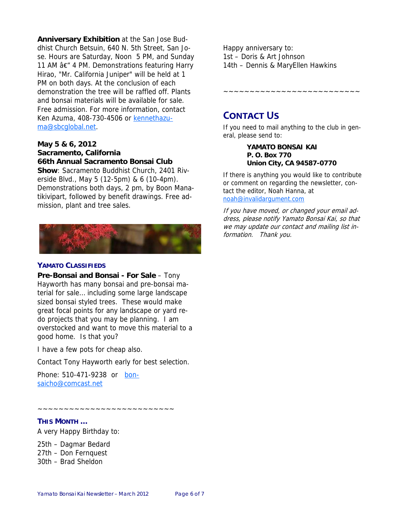**Anniversary Exhibition** at the San Jose Buddhist Church Betsuin, 640 N. 5th Street, San Jose. Hours are Saturday, Noon 5 PM, and Sunday 11 AM â€" 4 PM. Demonstrations featuring Harry Hirao, "Mr. California Juniper" will be held at 1 PM on both days. At the conclusion of each demonstration the tree will be raffled off. Plants and bonsai materials will be available for sale. Free admission. For more information, contact Ken Azuma, 408-730-4506 or kennethazuma@sbcglobal.net.

#### **May 5 & 6, 2012 Sacramento, California 66th Annual Sacramento Bonsai Club**

**Show**: Sacramento Buddhist Church, 2401 Riverside Blvd., May 5 (12-5pm) & 6 (10-4pm). Demonstrations both days, 2 pm, by Boon Manatikivipart, followed by benefit drawings. Free admission, plant and tree sales.



#### **YAMATO CLASSIFIEDS**

**Pre-Bonsai and Bonsai - For Sale** – Tony Hayworth has many bonsai and pre-bonsai material for sale… including some large landscape sized bonsai styled trees. These would make great focal points for any landscape or yard redo projects that you may be planning. I am overstocked and want to move this material to a good home. Is that you?

I have a few pots for cheap also.

Contact Tony Hayworth early for best selection.

Phone: 510-471-9238 or bonsaicho@comcast.net

~~~~~~~~~~~~~~~~~~~~~~~~~~

#### **THIS MONTH …**

A very Happy Birthday to:

25th – Dagmar Bedard 27th – Don Fernquest 30th – Brad Sheldon

Happy anniversary to: 1st – Doris & Art Johnson 14th – Dennis & MaryEllen Hawkins

~~~~~~~~~~~~~~~~~~~~~~~~~~

# **CONTACT US**

If you need to mail anything to the club in general, please send to:

#### **YAMATO BONSAI KAI P. O. Box 770 Union City, CA 94587-0770**

If there is anything you would like to contribute or comment on regarding the newsletter, contact the editor, Noah Hanna, at noah@invalidargument.com

If you have moved, or changed your email address, please notify Yamato Bonsai Kai, so that we may update our contact and mailing list information. Thank you.